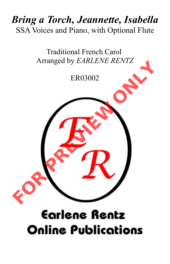## *Bring a Torch, Jeannette, Isabella* SSA Voices and Piano, with Optional Flute



## **Earlene Rentz** Online Publications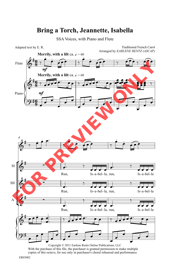## **Bring a Torch, Jeannette, Isabella**

SSA Voices, with Piano and Flute



With the purchase of this file, the purchaser is granted permission to make multiple copies of this octavo, for use only in purchaser's choral rehearsal and performance.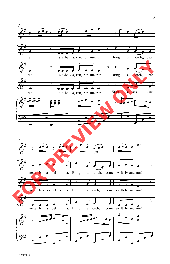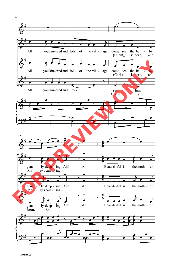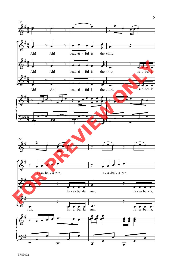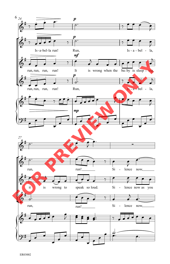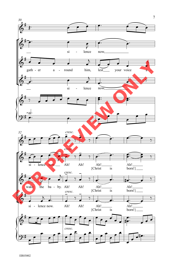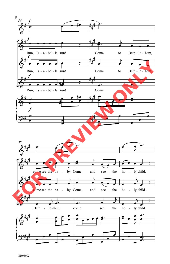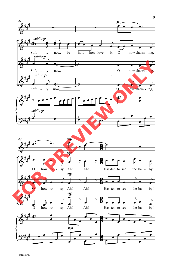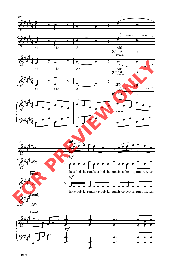